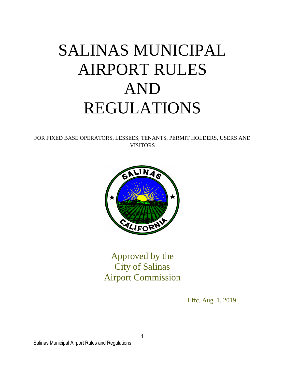# SALINAS MUNICIPAL AIRPORT RULES AND REGULATIONS

FOR FIXED BASE OPERATORS, LESSEES, TENANTS, PERMIT HOLDERS, USERS AND VISITORS



Approved by the City of Salinas Airport Commission

Effc. Aug. 1, 2019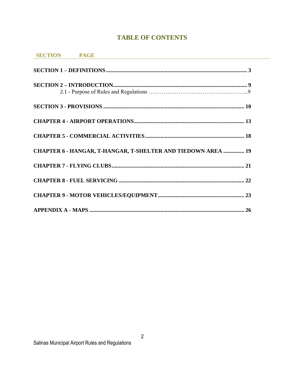# **TABLE OF CONTENTS**

| SECTION PAGE                                                 |  |  |
|--------------------------------------------------------------|--|--|
|                                                              |  |  |
|                                                              |  |  |
|                                                              |  |  |
|                                                              |  |  |
|                                                              |  |  |
| CHAPTER 6 - HANGAR, T-HANGAR, T-SHELTER AND TIEDOWN AREA  19 |  |  |
|                                                              |  |  |
|                                                              |  |  |
|                                                              |  |  |
|                                                              |  |  |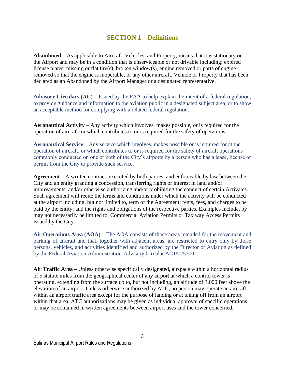## **SECTION 1 – Definitions**

<span id="page-2-0"></span>**Abandoned** – As applicable to Aircraft, Vehicles, and Property, means that it is stationary on the Airport and may be in a condition that is unserviceable or not drivable including: expired license plates, missing or flat tire(s), broken window(s), engine removed or parts of engine removed so that the engine is inoperable, or any other aircraft, Vehicle or Property that has been declared as an Abandoned by the Airport Manager or a designated representative.

**Advisory Circulars (AC)** – Issued by the FAA to help explain the intent of a federal regulation, to provide guidance and information to the aviation public in a designated subject area, or to show an acceptable method for complying with a related federal regulation.

**Aeronautical Activity** – Any activity which involves, makes possible, or is required for the operation of aircraft, or which contributes to or is required for the safety of operations.

**Aeronautical Service** – Any service which involves, makes possible or is required for at the operation of aircraft, or which contributes to or is required for the safety of aircraft operations commonly conducted on one or both of the City's airports by a person who has a lease, license or permit from the City to provide such service.

**Agreement** – A written contract, executed by both parties, and enforceable by law between the City and an entity granting a concession, transferring rights or interest in land and/or improvements, and/or otherwise authorizing and/or prohibiting the conduct of certain Activates. Such agreement will recite the terms and conditions under which the activity will be conducted at the airport including, but not limited to, term of the Agreement; rents, fees, and charges to be paid by the entity; and the rights and obligations of the respective parties. Examples include, by may not necessarily be limited to, Commercial Aviation Permits or Taxiway Access Permits issued by the City.

**Air Operations Area (AOA)** – The AOA consists of those areas intended for the movement and parking of aircraft and that, together with adjacent areas, are restricted to entry only by those persons, vehicles, and activities identified and authorized by the Director of Aviation as defined by the Federal Aviation Administration-Advisory Circular AC150/5300.

**Air Traffic Area –** Unless otherwise specifically designated, airspace within a horizontal radius of 5 statute miles from the geographical center of any airport at which a control tower is operating, extending from the surface up to, but not including, an altitude of 3,000 feet above the elevation of an airport. Unless otherwise authorized by ATC, no person may operate an aircraft within an airport traffic area except for the purpose of landing or at taking off from an airport within that area. ATC authorizations may be given as individual approval of specific operations or may be contained in written agreements between airport uses and the tower concerned.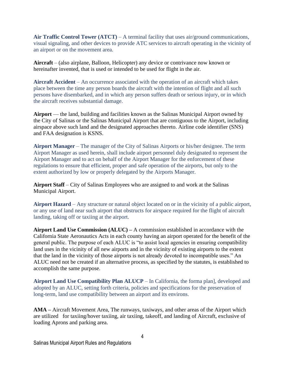Air Traffic Control Tower  $(ATCT)$  – A terminal facility that uses air/ground communications, visual signaling, and other devices to provide ATC services to aircraft operating in the vicinity of an airport or on the movement area.

**Aircraft** – (also airplane, Balloon, Helicopter) any device or contrivance now known or hereinafter invented, that is used or intended to be used for flight in the air.

**Aircraft Accident** – An occurrence associated with the operation of an aircraft which takes place between the time any person boards the aircraft with the intention of flight and all such persons have disembarked, and in which any person suffers death or serious injury, or in which the aircraft receives substantial damage.

**Airport** — the land, building and facilities known as the Salinas Municipal Airport owned by the City of Salinas or the Salinas Municipal Airport that are contiguous to the Airport, including airspace above such land and the designated approaches thereto. Airline code identifier (SNS) and FAA designation is KSNS.

**Airport Manager** – The manager of the City of Salinas Airports or his/her designee. The term Airport Manager as used herein, shall include airport personnel duly designated to represent the Airport Manager and to act on behalf of the Airport Manager for the enforcement of these regulations to ensure that efficient, proper and safe operation of the airports, but only to the extent authorized by low or properly delegated by the Airports Manager.

**Airport Staff** – City of Salinas Employees who are assigned to and work at the Salinas Municipal Airport.

**Airport Hazard** – Any structure or natural object located on or in the vicinity of a public airport, or any use of land near such airport that obstructs for airspace required for the flight of aircraft landing, taking off or taxiing at the airport.

**Airport Land Use Commission (ALUC) –** A commission established in accordance with the California State Aeronautics Acts in each county having an airport operated for the benefit of the general public. The purpose of each ALUC is "to assist local agencies in ensuring compatibility land uses in the vicinity of all new airports and in the vicinity of existing airports to the extent that the land in the vicinity of those airports is not already devoted to incompatible uses." An ALUC need not be created if an alternative process, as specified by the statutes, is established to accomplish the same purpose.

**Airport Land Use Compatibility Plan ALUCP** – In California, the forma plan], developed and adopted by an ALUC, setting forth criteria, policies and specifications for the preservation of long-term, land use compatibility between an airport and its environs.

**AMA –** Aircraft Movement Area, The runways, taxiways, and other areas of the Airport which are utilized for taxiing/hover taxiing, air taxiing, takeoff, and landing of Aircraft, exclusive of loading Aprons and parking area.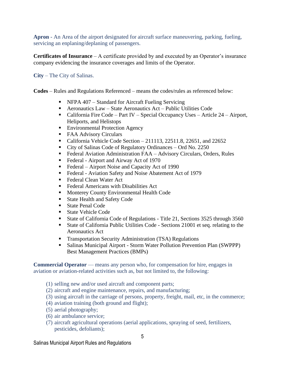**Apron** - An Area of the airport designated for aircraft surface maneuvering, parking, fueling, servicing an enplaning/deplaning of passengers.

**Certificates of Insurance** – A certificate provided by and executed by an Operator's insurance company evidencing the insurance coverages and limits of the Operator.

**City** – The City of Salinas.

**Codes** – Rules and Regulations Referenced – means the codes/rules as referenced below:

- NFPA 407 Standard for Aircraft Fueling Servicing
- Aeronautics Law State Aeronautics Act Public Utilities Code
- California Fire Code Part IV Special Occupancy Uses Article 24 Airport, Heliports, and Helistops
- **Environmental Protection Agency**
- FAA Advisory Circulars
- California Vehicle Code Section 211113, 22511.8, 22651, and 22652
- City of Salinas Code of Regulatory Ordinances Ord No. 2250
- Federal Aviation Administration FAA Advisory Circulars, Orders, Rules
- Federal Airport and Airway Act of 1970
- Federal Airport Noise and Capacity Act of 1990
- Federal Aviation Safety and Noise Abatement Act of 1979
- Federal Clean Water Act
- Federal Americans with Disabilities Act
- Monterey County Environmental Health Code
- State Health and Safety Code
- State Penal Code
- State Vehicle Code
- State of California Code of Regulations Title 21, Sections 3525 through 3560
- State of California Public Utilities Code Sections 21001 et seq. relating to the Aeronautics Act
- **Transportation Security Administration (TSA) Regulations**
- Salinas Municipal Airport Storm Water Pollution Prevention Plan (SWPPP) Best Management Practices (BMPs)

**Commercial Operator** — means any person who, for compensation for hire, engages in aviation or aviation-related activities such as, but not limited to, the following:

- (1) selling new and/or used aircraft and component parts;
- (2) aircraft and engine maintenance, repairs, and manufacturing;
- (3) using aircraft in the carriage of persons, property, freight, mail, etc, in the commerce;
- (4) aviation training (both ground and flight);
- (5) aerial photography;
- (6) air ambulance service;
- (7) aircraft agricultural operations (aerial applications, spraying of seed, fertilizers, pesticides, defoliants);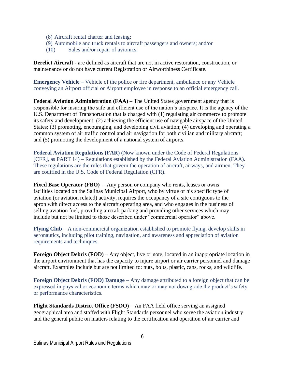- (8) Aircraft rental charter and leasing;
- (9) Automobile and truck rentals to aircraft passengers and owners; and/or
- (10) Sales and/or repair of avionics.

**Derelict Aircraft** - are defined as aircraft that are not in active restoration, construction, or maintenance or do not have current Registration or Airworthiness Certificate.

**Emergency Vehicle** – Vehicle of the police or fire department, ambulance or any Vehicle conveying an Airport official or Airport employee in response to an official emergency call.

**Federal Aviation Administration (FAA) – The United States government agency that is** responsible for insuring the safe and efficient use of the nation's airspace. It is the agency of the U.S. Department of Transportation that is charged with (1) regulating air commerce to promote its safety and development; (2) achieving the efficient use of navigable airspace of the United States; (3) promoting, encouraging, and developing civil aviation; (4) developing and operating a common system of air traffic control and air navigation for both civilian and military aircraft; and (5) promoting the development of a national system of airports.

**Federal Aviation Regulations (FAR) (**Now known under the Code of Federal Regulations [CFR], as PART 14) – Regulations established by the Federal Aviation Administration (FAA). These regulations are the rules that govern the operation of aircraft, airways, and airmen. They are codified in the U.S. Code of Federal Regulation (CFR).

**Fixed Base Operator (FBO)** – Any person or company who rents, leases or owns facilities located on the Salinas Municipal Airport, who by virtue of his specific type of aviation (or aviation related) activity, requires the occupancy of a site contiguous to the apron with direct access to the aircraft operating area, and who engages in the business of selling aviation fuel, providing aircraft parking and providing other services which may include but not be limited to those described under "commercial operator" above.

**Flying Club** – A non-commercial organization established to promote flying, develop skills in aeronautics, including pilot training, navigation, and awareness and appreciation of aviation requirements and techniques.

**Foreign Object Debris (FOD)** – Any object, live or note, located in an inappropriate location in the airport environment that has the capacity to injure airport or air carrier personnel and damage aircraft. Examples include but are not limited to: nuts, bolts, plastic, cans, rocks, and wildlife.

**Foreign Object Debris (FOD) Damage** – Any damage attributed to a foreign object that can be expressed in physical or economic terms which may or may not downgrade the product's safety or performance characteristics.

**Flight Standards District Office (FSDO)** – An FAA field office serving an assigned geographical area and staffed with Flight Standards personnel who serve the aviation industry and the general public on matters relating to the certification and operation of air carrier and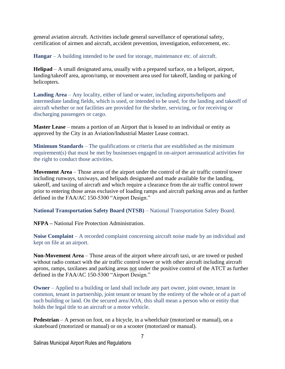general aviation aircraft. Activities include general surveillance of operational safety, certification of airmen and aircraft, accident prevention, investigation, enforcement, etc.

**Hangar** – A building intended to be used for storage, maintenance etc. of aircraft.

**Helipad** – A small designated area, usually with a prepared surface, on a heliport, airport, landing/takeoff area, apron/ramp, or movement area used for takeoff, landing or parking of helicopters.

**Landing Area** – Any locality, either of land or water, including airports/heliports and intermediate landing fields, which is used, or intended to be used, for the landing and takeoff of aircraft whether or not facilities are provided for the shelter, servicing, or for receiving or discharging passengers or cargo.

**Master Lease** – means a portion of an Airport that is leased to an individual or entity as approved by the City in an Aviation/Industrial Master Lease contract.

**Minimum Standards** – The qualifications or criteria that are established as the minimum requirement(s) that must be met by businesses engaged in on-airport aeronautical activities for the right to conduct those activities.

**Movement Area** – Those areas of the airport under the control of the air traffic control tower including runways, taxiways, and helipads designated and made available for the landing, takeoff, and taxiing of aircraft and which require a clearance from the air traffic control tower prior to entering those areas exclusive of loading ramps and aircraft parking areas and as further defined in the FAA/AC 150-5300 "Airport Design."

**National Transportation Safety Board (NTSB)** – National Transportation Safety Board.

**NFPA –** National Fire Protection Administration.

**Noise Complaint** – A recorded complaint concerning aircraft noise made by an individual and kept on file at an airport.

**Non-Movement Area** – Those areas of the airport where aircraft taxi, or are towed or pushed without radio contact with the air traffic control tower or with other aircraft including aircraft aprons, ramps, taxilanes and parking areas not under the positive control of the ATCT as further defined in the FAA/AC 150-5300 "Airport Design."

**Owner** – Applied to a building or land shall include any part owner, joint owner, tenant in common, tenant in partnership, joint tenant or tenant by the entirety of the whole or of a part of such building or land. On the secured area/AOA, this shall mean a person who or entity that holds the legal title to an aircraft or a motor vehicle.

**Pedestrian** – A person on foot, on a bicycle, in a wheelchair (motorized or manual), on a skateboard (motorized or manual) or on a scooter (motorized or manual).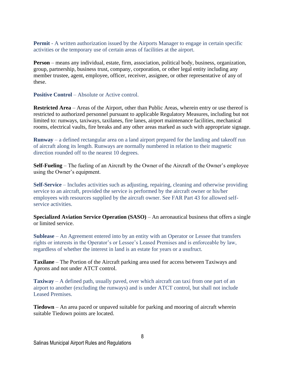**Permit** - A written authorization issued by the Airports Manager to engage in certain specific activities or the temporary use of certain areas of facilities at the airport.

**Person** – means any individual, estate, firm, association, political body, business, organization, group, partnership, business trust, company, corporation, or other legal entity including any member trustee, agent, employee, officer, receiver, assignee, or other representative of any of these.

**Positive Control** – Absolute or Active control.

**Restricted Area** – Areas of the Airport, other than Public Areas, wherein entry or use thereof is restricted to authorized personnel pursuant to applicable Regulatory Measures, including but not limited to: runways, taxiways, taxilanes, fire lanes, airport maintenance facilities, mechanical rooms, electrical vaults, fire breaks and any other areas marked as such with appropriate signage.

**Runway** – a defined rectangular area on a land airport prepared for the landing and takeoff run of aircraft along its length. Runways are normally numbered in relation to their magnetic direction rounded off to the nearest 10 degrees.

**Self-Fueling** – The fueling of an Aircraft by the Owner of the Aircraft of the Owner's employee using the Owner's equipment.

**Self-Service** – Includes activities such as adjusting, repairing, cleaning and otherwise providing service to an aircraft, provided the service is performed by the aircraft owner or his/her employees with resources supplied by the aircraft owner. See FAR Part 43 for allowed selfservice activities.

**Specialized Aviation Service Operation (SASO)** – An aeronautical business that offers a single or limited service.

**Sublease** – An Agreement entered into by an entity with an Operator or Lessee that transfers rights or interests in the Operator's or Lessee's Leased Premises and is enforceable by law, regardless of whether the interest in land is an estate for years or a usufruct.

**Taxilane** – The Portion of the Aircraft parking area used for access between Taxiways and Aprons and not under ATCT control.

**Taxiway** – A defined path, usually paved, over which aircraft can taxi from one part of an airport to another (excluding the runways) and is under ATCT control, but shall not include Leased Premises.

**Tiedown** – An area paced or unpaved suitable for parking and mooring of aircraft wherein suitable Tiedown points are located.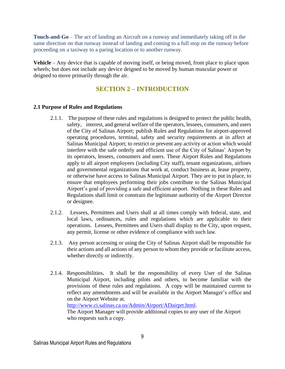**Touch-and-Go** – The act of landing an Aircraft on a runway and immediately taking off in the same direction on that runway instead of landing and coming to a full stop on the runway before proceeding on a taxiway to a paring location or to another runway.

**Vehicle** – Any device that is capable of moving itself, or being moved, from place to place upon wheels; but does not include any device deigned to be moved by human muscular power or deigned to move primarily through the air.

## **SECTION 2 – INTRODUCTION**

## <span id="page-8-0"></span>**2.1 Purpose of Rules and Regulations**

- 2.1.1. The purpose of these rules and regulations is designed to protect the public health, safety, interest, and general welfare of the operators, lessees, consumers, and users of the City of Salinas Airport; publish Rules and Regulations for airport-approved operating procedures, terminal, safety and security requirements at in affect at Salinas Municipal Airport; to restrict or prevent any activity or action which would interfere with the safe orderly and efficient use of the City of Salinas' Airport by its operators, lessees, consumers and users. These Airport Rules and Regulations apply to all airport employees (including City staff), tenant organizations, airlines and governmental organizations that work at, conduct business at, lease property, or otherwise have access to Salinas Municipal Airport. They are to put in place, to ensure that employees performing their jobs contribute to the Salinas Municipal Airport's goal of providing a safe and efficient airport. Nothing in these Rules and Regulations shall limit or constrain the legitimate authority of the Airport Director or designee.
- 2.1.2. Lessees, Permittees and Users shall at all times comply with federal, state, and local laws, ordinances, rules and regulations which are applicable to their operations. Lessees, Permittees and Users shall display to the City, upon request, any permit, license or other evidence of compliance with such law.
- 2.1.3. Any person accessing or using the City of Salinas Airport shall be responsible for their actions and all actions of any person to whom they provide or facilitate access, whether directly or indirectly.
- 2.1.4. Responsibilities**.** It shall be the responsibility of every User of the Salinas Municipal Airport, including pilots and others, to become familiar with the provisions of these rules and regulations. A copy will be maintained current to reflect any amendments and will be available in the Airport Manager's office and on the Airport Website at.

[http://www.ci.salinas.ca.us/Admin/Airport/ADairprt.html.](http://www.ci.salinas.ca.us/Admin/Airport/ADairprt.html)

The Airport Manager will provide additional copies to any user of the Airport who requests such a copy.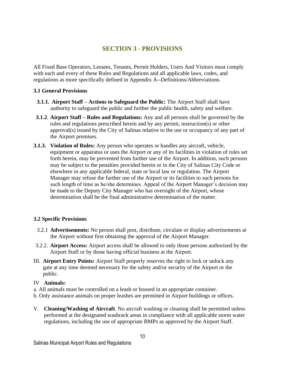## **SECTION 3 - PROVISIONS**

<span id="page-9-0"></span>All Fixed Base Operators, Lessees, Tenants, Permit Holders, Users And Visitors must comply with each and every of these Rules and Regulations and all applicable laws, codes, and regulations as more specifically defined in Appendix A--Definitions/Abbreviations.

#### **3.1 General Provisions**

- **3.1.1. Airport Staff – Actions to Safeguard the Public:** The Airport Staff shall have authority to safeguard the public and further the public health, safety and welfare.
- **3.1.2**. **Airport Staff – Rules and Regulations:** Any and all persons shall be governed by the rules and regulations prescribed herein and by any permit, instruction(s) or other approval(s) issued by the City of Salinas relative to the use or occupancy of any part of the Airport premises.
- **3.1.3. Violation of Rules:** Any person who operates or handles any aircraft, vehicle, equipment or apparatus or uses the Airport or any of its facilities in violation of rules set forth herein, may be prevented from further use of the Airport. In addition, such persons may be subject to the penalties provided herein or in the City of Salinas City Code or elsewhere in any applicable federal, state or local law or regulation. The Airport Manager may refuse the further use of the Airport or its facilities to such persons for such length of time as he/she determines. Appeal of the Airport Manager's decision may be made to the Deputy City Manager who has oversight of the Airport, whose determination shall be the final administrative determination of the matter.

## **3.2 Specific Provisions**

- 3.2.1 **Advertisements:** No person shall post, distribute, circulate or display advertisements at the Airport without first obtaining the approval of the Airport Manager.
- 3.2.2. **Airport Access:** Airport access shall be allowed to only those persons authorized by the Airport Staff or by those having official business at the Airport.
- III. **Airport Entry Points:** Airport Staff properly reserves the right to lock or unlock any gate at any time deemed necessary for the safety and/or security of the Airport or the public.

#### IV **Animals:**

- a. All animals must be controlled on a leash or housed in an appropriate container.
- b. Only assistance animals on proper leashes are permitted in Airport buildings or offices.
- V. **Cleaning/Washing of Aircraft**. No aircraft washing or cleaning shall be permitted unless performed at the designated washrack areas in compliance with all applicable storm water regulations, including the use of appropriate BMPs as approved by the Airport Staff.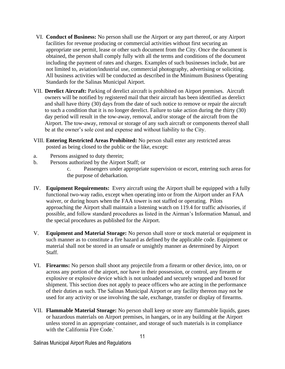- VI. **Conduct of Business:** No person shall use the Airport or any part thereof, or any Airport facilities for revenue producing or commercial activities without first securing an appropriate use permit, lease or other such document from the City. Once the document is obtained, the person shall comply fully with all the terms and conditions of the document including the payment of rates and charges. Examples of such businesses include, but are not limited to, aviation/industrial use, commercial photography, advertising or soliciting. All business activities will be conducted as described in the Minimum Business Operating Standards for the Salinas Municipal Airport.
- VII. **Derelict Aircraft:** Parking of derelict aircraft is prohibited on Airport premises. Aircraft owners will be notified by registered mail that their aircraft has been identified as derelict and shall have thirty (30) days from the date of such notice to remove or repair the aircraft to such a condition that it is no longer derelict. Failure to take action during the thirty (30) day period will result in the tow-away, removal, and/or storage of the aircraft from the Airport. The tow-away, removal or storage of any such aircraft or components thereof shall be at the owner's sole cost and expense and without liability to the City.
- VIII. **Entering Restricted Areas Prohibited:** No person shall enter any restricted areas posted as being closed to the public or the like, except:
- a. Persons assigned to duty therein;
- b. Persons authorized by the Airport Staff; or
	- c. Passengers under appropriate supervision or escort, entering such areas for the purpose of debarkation.
- IV. **Equipment Requirements:** Every aircraft using the Airport shall be equipped with a fully functional two-way radio, except when operating into or from the Airport under an FAA waiver, or during hours when the FAA tower is not staffed or operating. Pilots approaching the Airport shall maintain a listening watch on 119.4 for traffic advisories, if possible, and follow standard procedures as listed in the Airman's Information Manual, and the special procedures as published for the Airport.
- V. **Equipment and Material Storage:** No person shall store or stock material or equipment in such manner as to constitute a fire hazard as defined by the applicable code. Equipment or material shall not be stored in an unsafe or unsightly manner as determined by Airport Staff.
- VI. **Firearms:** No person shall shoot any projectile from a firearm or other device, into, on or across any portion of the airport, nor have in their possession, or control, any firearm or explosive or explosive device which is not unloaded and securely wrapped and boxed for shipment. This section does not apply to peace officers who are acting in the performance of their duties as such. The Salinas Municipal Airport or any facility thereon may not be used for any activity or use involving the sale, exchange, transfer or display of firearms.
- VII. **Flammable Material Storage:** No person shall keep or store any flammable liquids, gases or hazardous materials on Airport premises, in hangars, or in any building at the Airport unless stored in an appropriate container, and storage of such materials is in compliance with the California Fire Code.`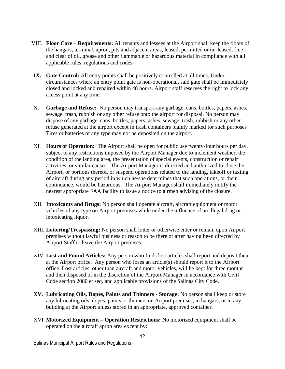- VIII. **Floor Care – Requirements:** All tenants and lessees at the Airport shall keep the floors of the hangars, terminal, apron, pits and adjacent areas, leased, permitted or un-leased, free and clear of oil, grease and other flammable or hazardous material in compliance with all applicable rules, regulations and codes
- **IX. Gate Control:** All entry points shall be positively controlled at all times. Under circumstances where an entry point gate is non-operational, said gate shall be immediately closed and locked and repaired within 48 hours. Airport staff reserves the right to lock any access point at any time.
- **X. Garbage and Refuse:** No person may transport any garbage, cans, bottles, papers, ashes, sewage, trash, rubbish or any other refuse onto the airport for disposal. No person may dispose of any garbage, cans, bottles, papers, ashes, sewage, trash, rubbish or any other refuse generated at the airport except in trash containers plainly marked for such purposes Tires or batteries of any type may not be deposited on the airport.
- XI. **Hours of Operation:** The Airport shall be open for public use twenty-four hours per day, subject to any restrictions imposed by the Airport Manager due to inclement weather, the condition of the landing area, the presentation of special events, construction or repair activities, or similar causes. The Airport Manager is directed and authorized to close the Airport, or portions thereof, or suspend operations related to the landing, takeoff or taxiing of aircraft during any period in which he/she determines that such operations, or their continuance, would be hazardous. The Airport Manager shall immediately notify the nearest appropriate FAA facility to issue a notice to airmen advising of the closure.
- XII. **Intoxicants and Drugs:** No person shall operate aircraft, aircraft equipment or motor vehicles of any type on Airport premises while under the influence of an illegal drug or intoxicating liquor.
- XIII. **Loitering/Trespassing:** No person shall loiter or otherwise enter or remain upon Airport premises without lawful business or reason to be there or after having been directed by Airport Staff to leave the Airport premises.
- XIV. **Lost and Found Articles:** Any person who finds lost articles shall report and deposit them at the Airport office. Any person who loses an article(s) should report it to the Airport office. Lost articles, other than aircraft and motor vehicles, will be kept for three months and then disposed of in the discretion of the Airport Manager in accordance with Civil Code section 2080 et seq. and applicable provisions of the Salinas City Code.
- **XV. Lubricating Oils, Dopes, Paints and Thinners - Storage:** No person shall keep or store any lubricating oils, dopes, paints or thinners on Airport premises, in hangars, or in any building at the Airport unless stored in an appropriate, approved container.
- XVI. **Motorized Equipment – Operation Restrictions:** No motorized equipment shall be operated on the aircraft apron area except by: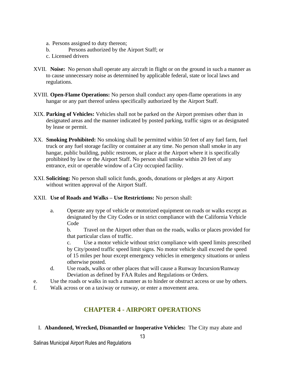- a. Persons assigned to duty thereon;
- b. Persons authorized by the Airport Staff; or
- c. Licensed drivers
- XVII. **Noise:** No person shall operate any aircraft in flight or on the ground in such a manner as to cause unnecessary noise as determined by applicable federal, state or local laws and regulations.
- XVIII. **Open-Flame Operations:** No person shall conduct any open-flame operations in any hangar or any part thereof unless specifically authorized by the Airport Staff.
- XIX. **Parking of Vehicles:** Vehicles shall not be parked on the Airport premises other than in designated areas and the manner indicated by posted parking, traffic signs or as designated by lease or permit.
- XX. **Smoking Prohibited:** No smoking shall be permitted within 50 feet of any fuel farm, fuel truck or any fuel storage facility or container at any time. No person shall smoke in any hangar, public building, public restroom, or place at the Airport where it is specifically prohibited by law or the Airport Staff. No person shall smoke within 20 feet of any entrance, exit or operable window of a City occupied facility.
- XXI. **Soliciting:** No person shall solicit funds, goods, donations or pledges at any Airport without written approval of the Airport Staff.

## XXII. **Use of Roads and Walks – Use Restrictions:** No person shall:

a. Operate any type of vehicle or motorized equipment on roads or walks except as designated by the City Codes or in strict compliance with the California Vehicle Code

b. Travel on the Airport other than on the roads, walks or places provided for that particular class of traffic.

c. Use a motor vehicle without strict compliance with speed limits prescribed by City/posted traffic speed limit signs. No motor vehicle shall exceed the speed of 15 miles per hour except emergency vehicles in emergency situations or unless otherwise posted.

- d. Use roads, walks or other places that will cause a Runway Incursion/Runway Deviation as defined by FAA Rules and Regulations or Orders.
- e. Use the roads or walks in such a manner as to hinder or obstruct access or use by others.
- f. Walk across or on a taxiway or runway, or enter a movement area.

# **CHAPTER 4 - AIRPORT OPERATIONS**

<span id="page-12-0"></span>I. **Abandoned, Wrecked, Dismantled or Inoperative Vehicles:** The City may abate and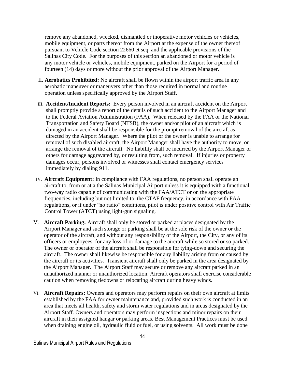remove any abandoned, wrecked, dismantled or inoperative motor vehicles or vehicles, mobile equipment, or parts thereof from the Airport at the expense of the owner thereof pursuant to Vehicle Code section 22660 et seq. and the applicable provisions of the Salinas City Code. For the purposes of this section an abandoned or motor vehicle is any motor vehicle or vehicles, mobile equipment, parked on the Airport for a period of fourteen (14) days or more without the prior approval of the Airport Manager.

- II. **Aerobatics Prohibited:** No aircraft shall be flown within the airport traffic area in any aerobatic maneuver or maneuvers other than those required in normal and routine operation unless specifically approved by the Airport Staff.
- III. **Accident/Incident Reports:** Every person involved in an aircraft accident on the Airport shall promptly provide a report of the details of such accident to the Airport Manager and to the Federal Aviation Administration (FAA). When released by the FAA or the National Transportation and Safety Board (NTSB), the owner and/or pilot of an aircraft which is damaged in an accident shall be responsible for the prompt removal of the aircraft as directed by the Airport Manager. Where the pilot or the owner is unable to arrange for removal of such disabled aircraft, the Airport Manager shall have the authority to move, or arrange the removal of the aircraft. No liability shall be incurred by the Airport Manager or others for damage aggravated by, or resulting from, such removal. If injuries or property damages occur, persons involved or witnesses shall contact emergency services immediately by dialing 911.
- IV. **Aircraft Equipment:** In compliance with FAA regulations, no person shall operate an aircraft to, from or at a the Salinas Municipal Airport unless it is equipped with a functional two-way radio capable of communicating with the FAA/ATCT or on the appropriate frequencies, including but not limited to, the CTAF frequency, in accordance with FAA regulations, or if under "no radio" conditions, pilot is under positive control with Air Traffic Control Tower (ATCT) using light-gun signaling.
- V. **Aircraft Parking:** Aircraft shall only be stored or parked at places designated by the Airport Manager and such storage or parking shall be at the sole risk of the owner or the operator of the aircraft, and without any responsibility of the Airport, the City, or any of its officers or employees, for any loss of or damage to the aircraft while so stored or so parked. The owner or operator of the aircraft shall be responsible for tying-down and securing the aircraft. The owner shall likewise be responsible for any liability arising from or caused by the aircraft or its activities. Transient aircraft shall only be parked in the area designated by the Airport Manager. The Airport Staff may secure or remove any aircraft parked in an unauthorized manner or unauthorized location. Aircraft operators shall exercise considerable caution when removing tiedowns or relocating aircraft during heavy winds.
- VI. **Aircraft Repairs:** Owners and operators may perform repairs on their own aircraft at limits established by the FAA for owner maintenance and, provided such work is conducted in an area that meets all health, safety and storm water regulations and in areas designated by the Airport Staff. Owners and operators may perform inspections and minor repairs on their aircraft in their assigned hangar or parking areas. Best Management Practices must be used when draining engine oil, hydraulic fluid or fuel, or using solvents. All work must be done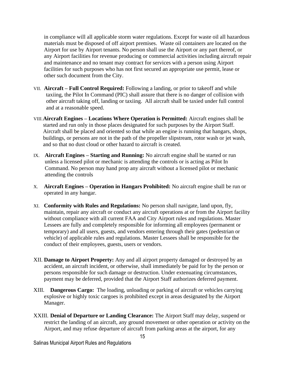in compliance will all applicable storm water regulations. Except for waste oil all hazardous materials must be disposed of off airport premises. Waste oil containers are located on the Airport for use by Airport tenants. No person shall use the Airport or any part thereof, or any Airport facilities for revenue producing or commercial activities including aircraft repair and maintenance and no tenant may contract for services with a person using Airport facilities for such purposes who has not first secured an appropriate use permit, lease or other such document from the City.

- VII. **Aircraft – Full Control Required:** Following a landing, or prior to takeoff and while taxiing, the Pilot In Command (PIC) shall assure that there is no danger of collision with other aircraft taking off, landing or taxiing. All aircraft shall be taxied under full control and at a reasonable speed.
- VIII.**Aircraft Engines – Locations Where Operation is Permitted:** Aircraft engines shall be started and run only in those places designated for such purposes by the Airport Staff. Aircraft shall be placed and oriented so that while an engine is running that hangars, shops, buildings, or persons are not in the path of the propeller slipstream, rotor wash or jet wash, and so that no dust cloud or other hazard to aircraft is created.
- IX. **Aircraft Engines – Starting and Running:** No aircraft engine shall be started or run unless a licensed pilot or mechanic is attending the controls or is acting as Pilot In Command. No person may hand prop any aircraft without a licensed pilot or mechanic attending the controls
- X. **Aircraft Engines – Operation in Hangars Prohibited:** No aircraft engine shall be run or operated in any hangar.
- XI. **Conformity with Rules and Regulations:** No person shall navigate, land upon, fly, maintain, repair any aircraft or conduct any aircraft operations at or from the Airport facility without compliance with all current FAA and City Airport rules and regulations. Master Lessees are fully and completely responsible for informing all employees (permanent or temporary) and all users, guests, and vendors entering through their gates (pedestrian or vehicle) of applicable rules and regulations. Master Lessees shall be responsible for the conduct of their employees, guests, users or vendors.
- XII. **Damage to Airport Property:** Any and all airport property damaged or destroyed by an accident, an aircraft incident, or otherwise, shall immediately be paid for by the person or persons responsible for such damage or destruction. Under extenuating circumstances, payment may be deferred, provided that the Airport Staff authorizes deferred payment.
- XIII. **Dangerous Cargo:** The loading, unloading or parking of aircraft or vehicles carrying explosive or highly toxic cargoes is prohibited except in areas designated by the Airport Manager.
- XXIII. **Denial of Departure or Landing Clearance:** The Airport Staff may delay, suspend or restrict the landing of an aircraft, any ground movement or other operation or activity on the Airport, and may refuse departure of aircraft from parking areas at the airport, for any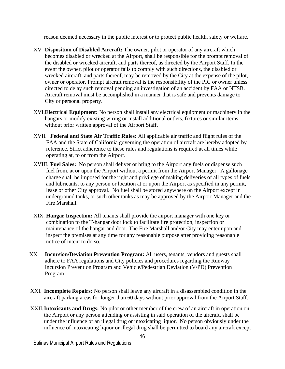reason deemed necessary in the public interest or to protect public health, safety or welfare.

- XV **Disposition of Disabled Aircraft:** The owner, pilot or operator of any aircraft which becomes disabled or wrecked at the Airport, shall be responsible for the prompt removal of the disabled or wrecked aircraft, and parts thereof, as directed by the Airport Staff. In the event the owner, pilot or operator fails to comply with such directions, the disabled or wrecked aircraft, and parts thereof, may be removed by the City at the expense of the pilot, owner or operator. Prompt aircraft removal is the responsibility of the PIC or owner unless directed to delay such removal pending an investigation of an accident by FAA or NTSB. Aircraft removal must be accomplished in a manner that is safe and prevents damage to City or personal property.
- XVI.**Electrical Equipment:** No person shall install any electrical equipment or machinery in the hangars or modify existing wiring or install additional outlets, fixtures or similar items without prior written approval of the Airport Staff.
- XVII. **Federal and State Air Traffic Rules:** All applicable air traffic and flight rules of the FAA and the State of California governing the operation of aircraft are hereby adopted by reference. Strict adherence to these rules and regulations is required at all times while operating at, to or from the Airport.
- XVIII. **Fuel Sales:** No person shall deliver or bring to the Airport any fuels or dispense such fuel from, at or upon the Airport without a permit from the Airport Manager. A gallonage charge shall be imposed for the right and privilege of making deliveries of all types of fuels and lubricants, to any person or location at or upon the Airport as specified in any permit, lease or other City approval. No fuel shall be stored anywhere on the Airport except in underground tanks, or such other tanks as may be approved by the Airport Manager and the Fire Marshall.
- XIX. **Hangar Inspection:** All tenants shall provide the airport manager with one key or combination to the T-hangar door lock to facilitate fire protection, inspection or maintenance of the hangar and door. The Fire Marshall and/or City may enter upon and inspect the premises at any time for any reasonable purpose after providing reasonable notice of intent to do so.
- XX. **Incursion/Deviation Prevention Program:** All users, tenants, vendors and guests shall adhere to FAA regulations and City policies and procedures regarding the Runway Incursion Prevention Program and Vehicle/Pedestrian Deviation (V/PD) Prevention Program.
- XXI. **Incomplete Repairs:** No person shall leave any aircraft in a disassembled condition in the aircraft parking areas for longer than 60 days without prior approval from the Airport Staff.
- XXII.**Intoxicants and Drugs:** No pilot or other member of the crew of an aircraft in operation on the Airport or any person attending or assisting in said operation of the aircraft, shall be under the influence of an illegal drug or intoxicating liquor. No person obviously under the influence of intoxicating liquor or illegal drug shall be permitted to board any aircraft except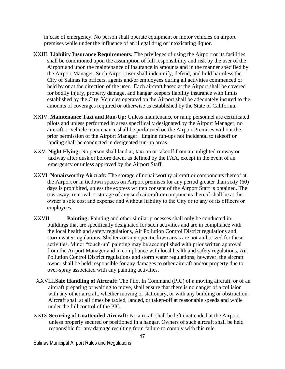in case of emergency. No person shall operate equipment or motor vehicles on airport premises while under the influence of an illegal drug or intoxicating liquor.

- XXIII. **Liability Insurance Requirements:** The privileges of using the Airport or its facilities shall be conditioned upon the assumption of full responsibility and risk by the user of the Airport and upon the maintenance of insurance in amounts and in the manner specified by the Airport Manager. Such Airport user shall indemnify, defend, and hold harmless the City of Salinas its officers, agents and/or employees during all activities commenced or held by or at the direction of the user. Each aircraft based at the Airport shall be covered for bodily injury, property damage, and hangar keepers liability insurance with limits established by the City. Vehicles operated on the Airport shall be adequately insured to the amounts of coverages required or otherwise as established by the State of California.
- XXIV. **Maintenance Taxi and Run-Up:** Unless maintenance or ramp personnel are certificated pilots and unless performed in areas specifically designated by the Airport Manager, no aircraft or vehicle maintenance shall be performed on the Airport Premises without the prior permission of the Airport Manager. Engine run-ups not incidental to takeoff or landing shall be conducted in designated run-up areas.
- XXV. **Night Flying:** No person shall land at, taxi on or takeoff from an unlighted runway or taxiway after dusk or before dawn, as defined by the FAA, except in the event of an emergency or unless approved by the Airport Staff.
- XXVI. **Nonairworthy Aircraft:** The storage of nonairworthy aircraft or components thereof at the Airport or in tiedown spaces on Airport premises for any period greater than sixty (60) days is prohibited, unless the express written consent of the Airport Staff is obtained. The tow-away, removal or storage of any such aircraft or components thereof shall be at the owner's sole cost and expense and without liability to the City or to any of its officers or employees.
- XXVII. **Painting:** Painting and other similar processes shall only be conducted in buildings that are specifically designated for such activities and are in compliance with the local health and safety regulations, Air Pollution Control District regulations and storm water regulations. Shelters or any open tiedown areas are not authorized for these activities. Minor "touch-up" painting may be accomplished with prior written approval from the Airport Manager and in compliance with local health and safety regulations, Air Pollution Control District regulations and storm water regulations; however, the aircraft owner shall be held responsible for any damages to other aircraft and/or property due to over-spray associated with any painting activities.
- XXVIII.**Safe Handling of Aircraft:** The Pilot In Command (PIC) of a moving aircraft, or of an aircraft preparing or waiting to move, shall ensure that there is no danger of a collision with any other aircraft, whether moving or stationary, or with any building or obstruction. Aircraft shall at all times be taxied, landed, or taken-off at reasonable speeds and while under the full control of the PIC.
- XXIX.**Securing of Unattended Aircraft:** No aircraft shall be left unattended at the Airport unless properly secured or positioned in a hangar. Owners of such aircraft shall be held responsible for any damage resulting from failure to comply with this rule.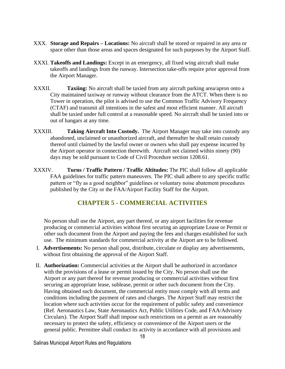- XXX. **Storage and Repairs – Locations:** No aircraft shall be stored or repaired in any area or space other than those areas and spaces designated for such purposes by the Airport Staff.
- XXXI. **Takeoffs and Landings:** Except in an emergency, all fixed wing aircraft shall make takeoffs and landings from the runway. Intersection take-offs require prior approval from the Airport Manager.
- XXXII. **Taxiing:** No aircraft shall be taxied from any aircraft parking area/apron onto a City maintained taxiway or runway without clearance from the ATCT. When there is no Tower in operation, the pilot is advised to use the Common Traffic Advisory Frequency (CTAF) and transmit all intentions in the safest and most efficient manner. All aircraft shall be taxied under full control at a reasonable speed. No aircraft shall be taxied into or out of hangars at any time.
- XXXIII. **Taking Aircraft Into Custody.** The Airport Manager may take into custody any abandoned, unclaimed or unauthorized aircraft, and thereafter he shall retain custody thereof until claimed by the lawful owner or owners who shall pay expense incurred by the Airport operator in connection therewith. Aircraft not claimed within ninety (90) days may be sold pursuant to Code of Civil Procedure section 1208.61.
- XXXIV. **Turns / Traffic Pattern / Traffic Altitudes:** The PIC shall follow all applicable FAA guidelines for traffic pattern maneuvers. The PIC shall adhere to any specific traffic pattern or "fly as a good neighbor" guidelines or voluntary noise abatement procedures published by the City or the FAA/Airport Facility Staff for the Airport.

## **CHAPTER 5 - COMMERCIAL ACTIVITIES**

<span id="page-17-0"></span>No person shall use the Airport, any part thereof, or any airport facilities for revenue producing or commercial activities without first securing an appropriate Lease or Permit or other such document from the Airport and paying the fees and charges established for such use. The minimum standards for commercial activity at the Airport are to be followed.

- I. **Advertisements:** No person shall post, distribute, circulate or display any advertisements, without first obtaining the approval of the Airport Staff.
- II. **Authorization:** Commercial activities at the Airport shall be authorized in accordance with the provisions of a lease or permit issued by the City. No person shall use the Airport or any part thereof for revenue producing or commercial activities without first securing an appropriate lease, sublease, permit or other such document from the City. Having obtained such document, the commercial entity must comply with all terms and conditions including the payment of rates and charges. The Airport Staff may restrict the location where such activities occur for the requirement of public safety and convenience (Ref. Aeronautics Law, State Aeronautics Act, Public Utilities Code, and FAA/Advisory Circulars). The Airport Staff shall impose such restrictions on a permit as are reasonably necessary to protect the safety, efficiency or convenience of the Airport users or the general public. Permittee shall conduct its activity in accordance with all provisions and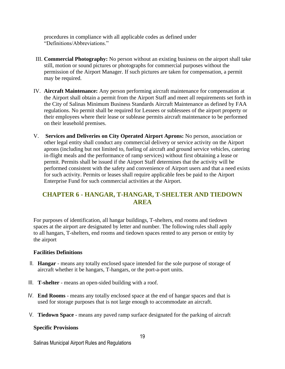procedures in compliance with all applicable codes as defined under "Definitions/Abbreviations."

- III. **Commercial Photography:** No person without an existing business on the airport shall take still, motion or sound pictures or photographs for commercial purposes without the permission of the Airport Manager. If such pictures are taken for compensation, a permit may be required.
- IV. **Aircraft Maintenance:** Any person performing aircraft maintenance for compensation at the Airport shall obtain a permit from the Airport Staff and meet all requirements set forth in the City of Salinas Minimum Business Standards Aircraft Maintenance as defined by FAA regulations. No permit shall be required for Lessees or sublessees of the airport property or their employees where their lease or sublease permits aircraft maintenance to be performed on their leasehold premises.
- V. **Services and Deliveries on City Operated Airport Aprons:** No person, association or other legal entity shall conduct any commercial delivery or service activity on the Airport aprons (including but not limited to, fueling of aircraft and ground service vehicles, catering in-flight meals and the performance of ramp services) without first obtaining a lease or permit. Permits shall be issued if the Airport Staff determines that the activity will be performed consistent with the safety and convenience of Airport users and that a need exists for such activity. Permits or leases shall require applicable fees be paid to the Airport Enterprise Fund for such commercial activities at the Airport.

## <span id="page-18-0"></span>**CHAPTER 6 - HANGAR, T-HANGAR, T-SHELTER AND TIEDOWN AREA**

For purposes of identification, all hangar buildings, T-shelters, end rooms and tiedown spaces at the airport are designated by letter and number. The following rules shall apply to all hangars, T-shelters, end rooms and tiedown spaces rented to any person or entity by the airport

## **Facilities Definitions**

- II. **Hangar** means any totally enclosed space intended for the sole purpose of storage of aircraft whether it be hangars, T-hangars, or the port-a-port units.
- III. **T-shelter**  means an open-sided building with a roof.
- IV. **End Rooms** means any totally enclosed space at the end of hangar spaces and that is used for storage purposes that is not large enough to accommodate an aircraft.
- V. **Tiedown Space** means any paved ramp surface designated for the parking of aircraft

#### **Specific Provisions**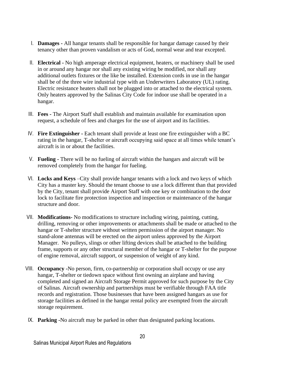- I. **Damages -** All hangar tenants shall be responsible for hangar damage caused by their tenancy other than proven vandalism or acts of God, normal wear and tear excepted.
- II. **Electrical -** No high amperage electrical equipment, heaters, or machinery shall be used in or around any hangar nor shall any existing wiring be modified, nor shall any additional outlets fixtures or the like be installed. Extension cords in use in the hangar shall be of the three wire industrial type with an Underwriters Laboratory (UL) rating. Electric resistance heaters shall not be plugged into or attached to the electrical system. Only heaters approved by the Salinas City Code for indoor use shall be operated in a hangar.
- III. **Fees -** The Airport Staff shall establish and maintain available for examination upon request, a schedule of fees and charges for the use of airport and its facilities.
- IV. **Fire Extinguisher -** Each tenant shall provide at least one fire extinguisher with a BC rating in the hangar, T-shelter or aircraft occupying said space at all times while tenant's aircraft is in or about the facilities.
- V. **Fueling -** There will be no fueling of aircraft within the hangars and aircraft will be removed completely from the hangar for fueling.
- VI. **Locks and Keys** –City shall provide hangar tenants with a lock and two keys of which City has a master key. Should the tenant choose to use a lock different than that provided by the City, tenant shall provide Airport Staff with one key or combination to the door lock to facilitate fire protection inspection and inspection or maintenance of the hangar structure and door.
- VII. **Modifications-** No modifications to structure including wiring, painting, cutting, drilling, removing or other improvements or attachments shall be made or attached to the hangar or T-shelter structure without written permission of the airport manager. No stand-alone antennas will be erected on the airport unless approved by the Airport Manager. No pulleys, slings or other lifting devices shall be attached to the building frame, supports or any other structural member of the hangar or T-shelter for the purpose of engine removal, aircraft support, or suspension of weight of any kind.
- VIII. **Occupancy -**No person, firm, co-partnership or corporation shall occupy or use any hangar, T-shelter or tiedown space without first owning an airplane and having completed and signed an Aircraft Storage Permit approved for such purpose by the City of Salinas. Aircraft ownership and partnerships must be verifiable through FAA title records and registration. Those businesses that have been assigned hangars as use for storage facilities as defined in the hangar rental policy are exempted from the aircraft storage requirement.
- IX. **Parking -**No aircraft may be parked in other than designated parking locations.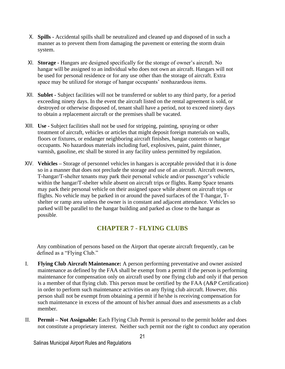- X. **Spills -** Accidental spills shall be neutralized and cleaned up and disposed of in such a manner as to prevent them from damaging the pavement or entering the storm drain system.
- XI. **Storage -** Hangars are designed specifically for the storage of owner's aircraft. No hangar will be assigned to an individual who does not own an aircraft. Hangars will not be used for personal residence or for any use other than the storage of aircraft. Extra space may be utilized for storage of hangar occupants' nonhazardous items.
- XII. **Sublet -** Subject facilities will not be transferred or sublet to any third party, for a period exceeding ninety days. In the event the aircraft listed on the rental agreement is sold, or destroyed or otherwise disposed of, tenant shall have a period, not to exceed ninety days to obtain a replacement aircraft or the premises shall be vacated.
- XIII. **Use -** Subject facilities shall not be used for stripping, painting, spraying or other treatment of aircraft, vehicles or articles that might deposit foreign materials on walls, floors or fixtures, or endanger neighboring aircraft finishes, hangar contents or hangar occupants. No hazardous materials including fuel, explosives, paint, paint thinner, varnish, gasoline, etc shall be stored in any facility unless permitted by regulation.
- XIV. **Vehicles –** Storage of personnel vehicles in hangars is acceptable provided that it is done so in a manner that does not preclude the storage and use of an aircraft. Aircraft owners, T-hangar/T-shelter tenants may park their personal vehicle and/or passenger's vehicle within the hangar/T-shelter while absent on aircraft trips or flights. Ramp Space tenants may park their personal vehicle on their assigned space while absent on aircraft trips or flights. No vehicle may be parked in or around the paved surfaces of the T-hangar, Tshelter or ramp area unless the owner is in constant and adjacent attendance. Vehicles so parked will be parallel to the hangar building and parked as close to the hangar as possible.

## **CHAPTER 7 - FLYING CLUBS**

<span id="page-20-0"></span>Any combination of persons based on the Airport that operate aircraft frequently, can be defined as a "Flying Club."

- I. **Flying Club Aircraft Maintenance:** A person performing preventative and owner assisted maintenance as defined by the FAA shall be exempt from a permit if the person is performing maintenance for compensation only on aircraft used by one flying club and only if that person is a member of that flying club. This person must be certified by the FAA (A&P Certification) in order to perform such maintenance activities on any flying club aircraft. However, this person shall not be exempt from obtaining a permit if he/she is receiving compensation for such maintenance in excess of the amount of his/her annual dues and assessments as a club member.
- II. **Permit – Not Assignable:** Each Flying Club Permit is personal to the permit holder and does not constitute a proprietary interest. Neither such permit nor the right to conduct any operation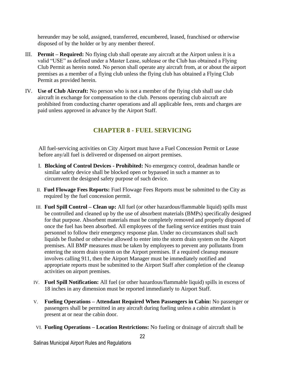hereunder may be sold, assigned, transferred, encumbered, leased, franchised or otherwise disposed of by the holder or by any member thereof.

- III. **Permit – Required:** No flying club shall operate any aircraft at the Airport unless it is a valid "USE" as defined under a Master Lease, sublease or the Club has obtained a Flying Club Permit as herein noted. No person shall operate any aircraft from, at or about the airport premises as a member of a flying club unless the flying club has obtained a Flying Club Permit as provided herein.
- IV. **Use of Club Aircraft:** No person who is not a member of the flying club shall use club aircraft in exchange for compensation to the club. Persons operating club aircraft are prohibited from conducting charter operations and all applicable fees, rents and charges are paid unless approved in advance by the Airport Staff.

# **CHAPTER 8 - FUEL SERVICING**

<span id="page-21-0"></span>All fuel-servicing activities on City Airport must have a Fuel Concession Permit or Lease before any/all fuel is delivered or dispensed on airport premises.

- I. **Blocking of Control Devices - Prohibited:** No emergency control, deadman handle or similar safety device shall be blocked open or bypassed in such a manner as to circumvent the designed safety purpose of such device.
- II. **Fuel Flowage Fees Reports:** Fuel Flowage Fees Reports must be submitted to the City as required by the fuel concession permit.
- III. **Fuel Spill Control – Clean up:** All fuel (or other hazardous/flammable liquid) spills must be controlled and cleaned up by the use of absorbent materials (BMPs) specifically designed for that purpose. Absorbent materials must be completely removed and properly disposed of once the fuel has been absorbed. All employees of the fueling service entities must train personnel to follow their emergency response plan. Under no circumstances shall such liquids be flushed or otherwise allowed to enter into the storm drain system on the Airport premises. All BMP measures must be taken by employees to prevent any pollutants from entering the storm drain system on the Airport premises. If a required cleanup measure involves calling 911, then the Airport Manager must be immediately notified and appropriate reports must be submitted to the Airport Staff after completion of the cleanup activities on airport premises.
- IV. **Fuel Spill Notification:** All fuel (or other hazardous/flammable liquid) spills in excess of 18 inches in any dimension must be reported immediately to Airport Staff.
- V. **Fueling Operations – Attendant Required When Passengers in Cabin:** No passenger or passengers shall be permitted in any aircraft during fueling unless a cabin attendant is present at or near the cabin door.
- VI. **Fueling Operations – Location Restrictions:** No fueling or drainage of aircraft shall be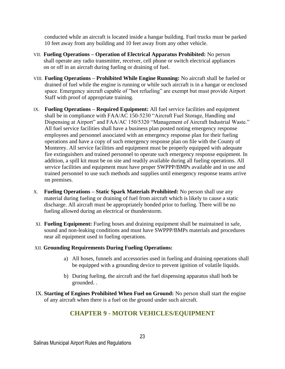conducted while an aircraft is located inside a hangar building. Fuel trucks must be parked 10 feet away from any building and 10 feet away from any other vehicle.

- VII. **Fueling Operations – Operation of Electrical Apparatus Prohibited:** No person shall operate any radio transmitter, receiver, cell phone or switch electrical appliances on or off in an aircraft during fueling or draining of fuel.
- VIII. **Fueling Operations – Prohibited While Engine Running:** No aircraft shall be fueled or drained of fuel while the engine is running or while such aircraft is in a hangar or enclosed space. Emergency aircraft capable of "hot refueling" are exempt but must provide Airport Staff with proof of appropriate training.
- IX. **Fueling Operations – Required Equipment:** All fuel service facilities and equipment shall be in compliance with FAA/AC 150-5230 "Aircraft Fuel Storage, Handling and Dispensing at Airport" and FAA/AC 150/5320 "Management of Aircraft Industrial Waste." All fuel service facilities shall have a business plan posted noting emergency response employees and personnel associated with an emergency response plan for their fueling operations and have a copy of such emergency response plan on file with the County of Monterey. All service facilities and equipment must be properly equipped with adequate fire extinguishers and trained personnel to operate such emergency response equipment. In addition, a spill kit must be on site and readily available during all fueling operations. All service facilities and equipment must have proper SWPPP/BMPs available and in use and trained personnel to use such methods and supplies until emergency response teams arrive on premises.
- X. **Fueling Operations – Static Spark Materials Prohibited:** No person shall use any material during fueling or draining of fuel from aircraft which is likely to cause a static discharge. All aircraft must be appropriately bonded prior to fueling. There will be no fueling allowed during an electrical or thunderstorm.
- XI. **Fueling Equipment:** Fueling hoses and draining equipment shall be maintained in safe, sound and non-leaking conditions and must have SWPPP/BMPs materials and procedures near all equipment used in fueling operations.

## XII. **Grounding Requirements During Fueling Operations:**

- a) All hoses, funnels and accessories used in fueling and draining operations shall be equipped with a grounding device to prevent ignition of volatile liquids.
- b) During fueling, the aircraft and the fuel dispensing apparatus shall both be grounded. .
- <span id="page-22-0"></span>IX. **Starting of Engines Prohibited When Fuel on Ground:** No person shall start the engine of any aircraft when there is a fuel on the ground under such aircraft.

# **CHAPTER 9 - MOTOR VEHICLES/EQUIPMENT**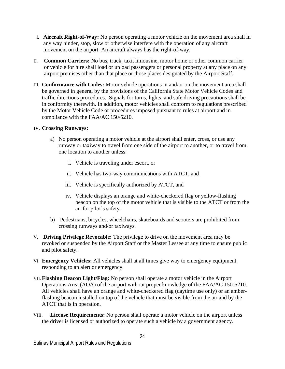- I. **Aircraft Right-of-Way:** No person operating a motor vehicle on the movement area shall in any way hinder, stop, slow or otherwise interfere with the operation of any aircraft movement on the airport. An aircraft always has the right-of-way.
- II. **Common Carriers:** No bus, truck, taxi, limousine, motor home or other common carrier or vehicle for hire shall load or unload passengers or personal property at any place on any airport premises other than that place or those places designated by the Airport Staff.
- III. **Conformance with Codes:** Motor vehicle operations in and/or on the movement area shall be governed in general by the provisions of the California State Motor Vehicle Codes and traffic directions procedures. Signals for turns, lights, and safe driving precautions shall be in conformity therewith. In addition, motor vehicles shall conform to regulations prescribed by the Motor Vehicle Code or procedures imposed pursuant to rules at airport and in compliance with the FAA/AC 150/5210.

#### **IV. Crossing Runways:**

- a) No person operating a motor vehicle at the airport shall enter, cross, or use any runway or taxiway to travel from one side of the airport to another, or to travel from one location to another unless:
	- i. Vehicle is traveling under escort, or
	- ii. Vehicle has two-way communications with ATCT, and
	- iii. Vehicle is specifically authorized by ATCT, and
	- iv. Vehicle displays an orange and white-checkered flag or yellow-flashing beacon on the top of the motor vehicle that is visible to the ATCT or from the air for pilot's safety.
- b) Pedestrians, bicycles, wheelchairs, skateboards and scooters are prohibited from crossing runways and/or taxiways.
- V. **Driving Privilege Revocable:** The privilege to drive on the movement area may be revoked or suspended by the Airport Staff or the Master Lessee at any time to ensure public and pilot safety.
- VI. **Emergency Vehicles:** All vehicles shall at all times give way to emergency equipment responding to an alert or emergency.
- VII.**Flashing Beacon Light/Flag:** No person shall operate a motor vehicle in the Airport Operations Area (AOA) of the airport without proper knowledge of the FAA/AC 150-5210. All vehicles shall have an orange and white-checkered flag (daytime use only) or an amberflashing beacon installed on top of the vehicle that must be visible from the air and by the ATCT that is in operation.
- VIII. **License Requirements:** No person shall operate a motor vehicle on the airport unless the driver is licensed or authorized to operate such a vehicle by a government agency.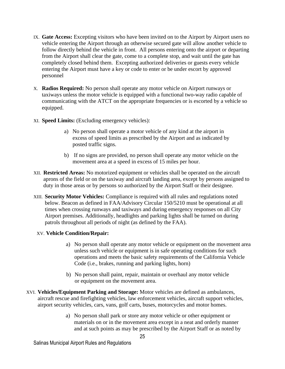- IX. **Gate Access:** Excepting visitors who have been invited on to the Airport by Airport users no vehicle entering the Airport through an otherwise secured gate will allow another vehicle to follow directly behind the vehicle in front. All persons entering onto the airport or departing from the Airport shall clear the gate, come to a complete stop, and wait until the gate has completely closed behind them. Excepting authorized deliveries or guests every vehicle entering the Airport must have a key or code to enter or be under escort by approved personnel
- X. **Radios Required:** No person shall operate any motor vehicle on Airport runways or taxiways unless the motor vehicle is equipped with a functional two-way radio capable of communicating with the ATCT on the appropriate frequencies or is escorted by a vehicle so equipped.
- XI. **Speed Limits:** (Excluding emergency vehicles):
	- a) No person shall operate a motor vehicle of any kind at the airport in excess of speed limits as prescribed by the Airport and as indicated by posted traffic signs.
	- b) If no signs are provided, no person shall operate any motor vehicle on the movement area at a speed in excess of 15 miles per hour.
- XII. **Restricted Areas:** No motorized equipment or vehicles shall be operated on the aircraft aprons of the field or on the taxiway and aircraft landing area, except by persons assigned to duty in those areas or by persons so authorized by the Airport Staff or their designee.
- XIII. **Security Motor Vehicles:** Compliance is required with all rules and regulations noted below. Beacon as defined in FAA/Advisory Circular 150/5210 must be operational at all times when crossing runways and taxiways and during emergency responses on all City Airport premises. Additionally, headlights and parking lights shall be turned on during patrols throughout all periods of night (as defined by the FAA).

## XV. **Vehicle Condition/Repair:**

- a) No person shall operate any motor vehicle or equipment on the movement area unless such vehicle or equipment is in safe operating conditions for such operations and meets the basic safety requirements of the California Vehicle Code (i.e., brakes, running and parking lights, horn)
- b) No person shall paint, repair, maintain or overhaul any motor vehicle or equipment on the movement area.
- XVI. **Vehicles/Equipment Parking and Storage:** Motor vehicles are defined as ambulances, aircraft rescue and firefighting vehicles, law enforcement vehicles, aircraft support vehicles, airport security vehicles, cars, vans, golf carts, buses, motorcycles and motor homes.
	- a) No person shall park or store any motor vehicle or other equipment or materials on or in the movement area except in a neat and orderly manner and at such points as may be prescribed by the Airport Staff or as noted by